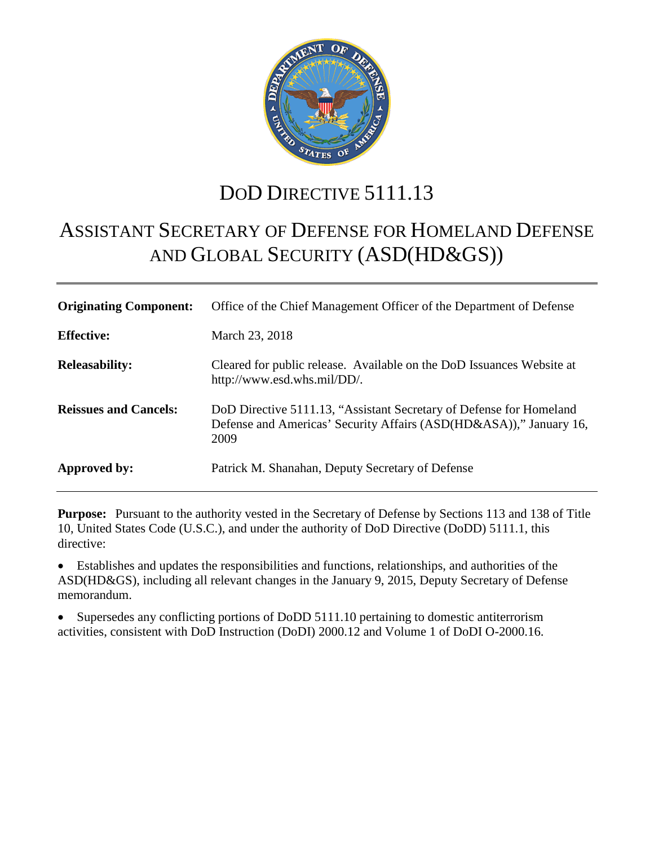

# DOD DIRECTIVE 5111.13

# ASSISTANT SECRETARY OF DEFENSE FOR HOMELAND DEFENSE AND GLOBAL SECURITY (ASD(HD&GS))

| <b>Originating Component:</b> | Office of the Chief Management Officer of the Department of Defense                                                                               |
|-------------------------------|---------------------------------------------------------------------------------------------------------------------------------------------------|
| <b>Effective:</b>             | March 23, 2018                                                                                                                                    |
| <b>Releasability:</b>         | Cleared for public release. Available on the DoD Issuances Website at<br>http://www.esd.whs.mil/DD/.                                              |
| <b>Reissues and Cancels:</b>  | DoD Directive 5111.13, "Assistant Secretary of Defense for Homeland<br>Defense and Americas' Security Affairs (ASD(HD&ASA))," January 16,<br>2009 |
| Approved by:                  | Patrick M. Shanahan, Deputy Secretary of Defense                                                                                                  |

**Purpose:** Pursuant to the authority vested in the Secretary of Defense by Sections 113 and 138 of Title 10, United States Code (U.S.C.), and under the authority of DoD Directive (DoDD) 5111.1, this directive:

• Establishes and updates the responsibilities and functions, relationships, and authorities of the ASD(HD&GS), including all relevant changes in the January 9, 2015, Deputy Secretary of Defense memorandum.

• Supersedes any conflicting portions of DoDD 5111.10 pertaining to domestic antiterrorism activities, consistent with DoD Instruction (DoDI) 2000.12 and Volume 1 of DoDI O-2000.16.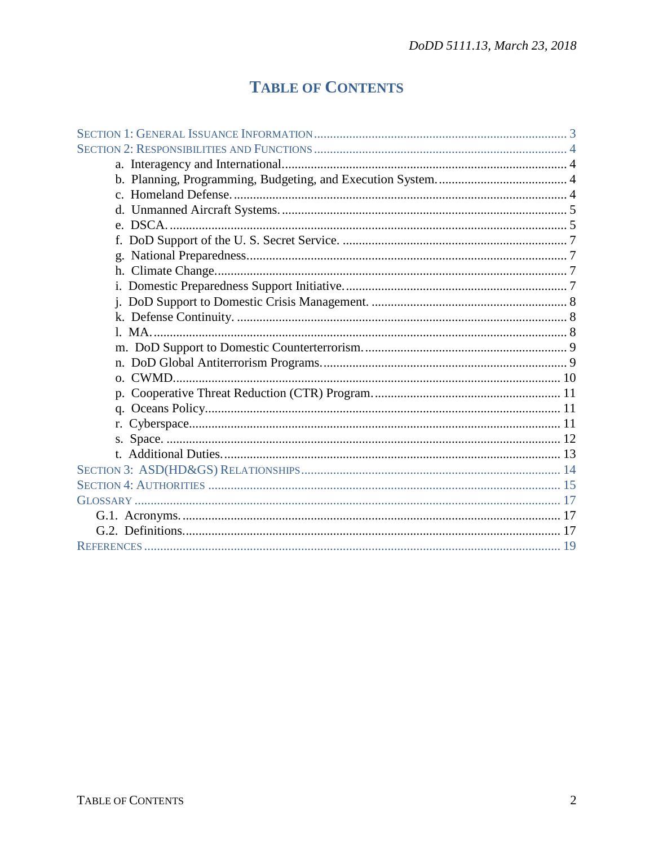## **TABLE OF CONTENTS**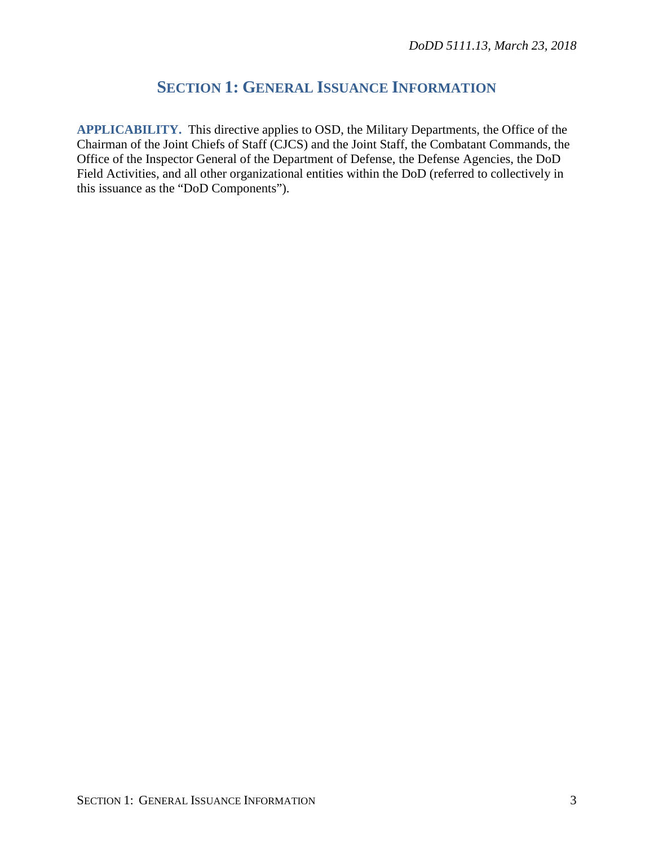## **SECTION 1: GENERAL ISSUANCE INFORMATION**

**APPLICABILITY.** This directive applies to OSD, the Military Departments, the Office of the Chairman of the Joint Chiefs of Staff (CJCS) and the Joint Staff, the Combatant Commands, the Office of the Inspector General of the Department of Defense, the Defense Agencies, the DoD Field Activities, and all other organizational entities within the DoD (referred to collectively in this issuance as the "DoD Components").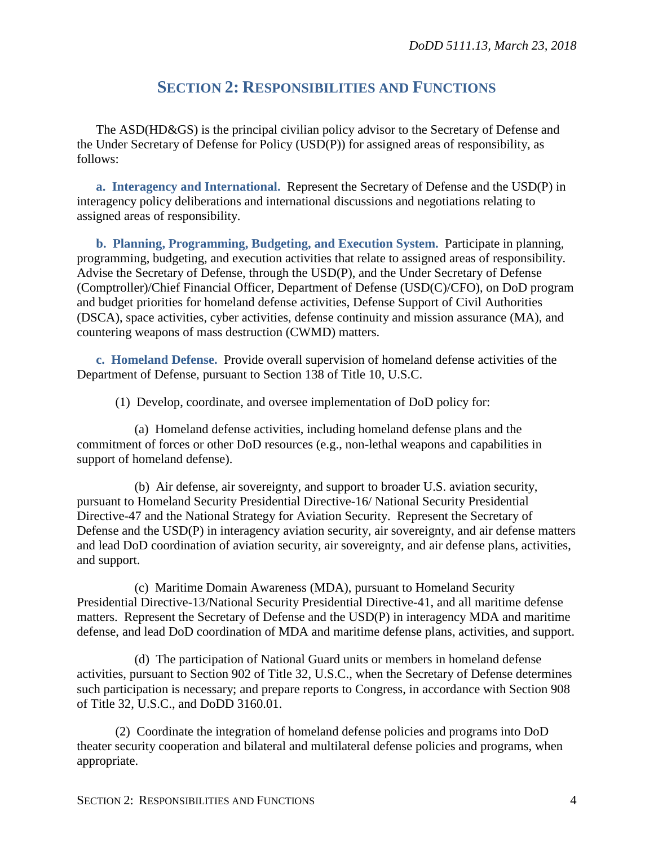## **SECTION 2: RESPONSIBILITIES AND FUNCTIONS**

The ASD(HD&GS) is the principal civilian policy advisor to the Secretary of Defense and the Under Secretary of Defense for Policy (USD(P)) for assigned areas of responsibility, as follows:

**a. Interagency and International.** Represent the Secretary of Defense and the USD(P) in interagency policy deliberations and international discussions and negotiations relating to assigned areas of responsibility.

**b. Planning, Programming, Budgeting, and Execution System.** Participate in planning, programming, budgeting, and execution activities that relate to assigned areas of responsibility. Advise the Secretary of Defense, through the USD(P), and the Under Secretary of Defense (Comptroller)/Chief Financial Officer, Department of Defense (USD(C)/CFO), on DoD program and budget priorities for homeland defense activities, Defense Support of Civil Authorities (DSCA), space activities, cyber activities, defense continuity and mission assurance (MA), and countering weapons of mass destruction (CWMD) matters.

**c. Homeland Defense.** Provide overall supervision of homeland defense activities of the Department of Defense, pursuant to Section 138 of Title 10, U.S.C.

(1) Develop, coordinate, and oversee implementation of DoD policy for:

(a) Homeland defense activities, including homeland defense plans and the commitment of forces or other DoD resources (e.g., non-lethal weapons and capabilities in support of homeland defense).

(b) Air defense, air sovereignty, and support to broader U.S. aviation security, pursuant to Homeland Security Presidential Directive-16/ National Security Presidential Directive-47 and the National Strategy for Aviation Security. Represent the Secretary of Defense and the USD(P) in interagency aviation security, air sovereignty, and air defense matters and lead DoD coordination of aviation security, air sovereignty, and air defense plans, activities, and support.

(c) Maritime Domain Awareness (MDA), pursuant to Homeland Security Presidential Directive-13/National Security Presidential Directive-41, and all maritime defense matters. Represent the Secretary of Defense and the USD(P) in interagency MDA and maritime defense, and lead DoD coordination of MDA and maritime defense plans, activities, and support.

(d) The participation of National Guard units or members in homeland defense activities, pursuant to Section 902 of Title 32, U.S.C., when the Secretary of Defense determines such participation is necessary; and prepare reports to Congress, in accordance with Section 908 of Title 32, U.S.C., and DoDD 3160.01.

(2) Coordinate the integration of homeland defense policies and programs into DoD theater security cooperation and bilateral and multilateral defense policies and programs, when appropriate.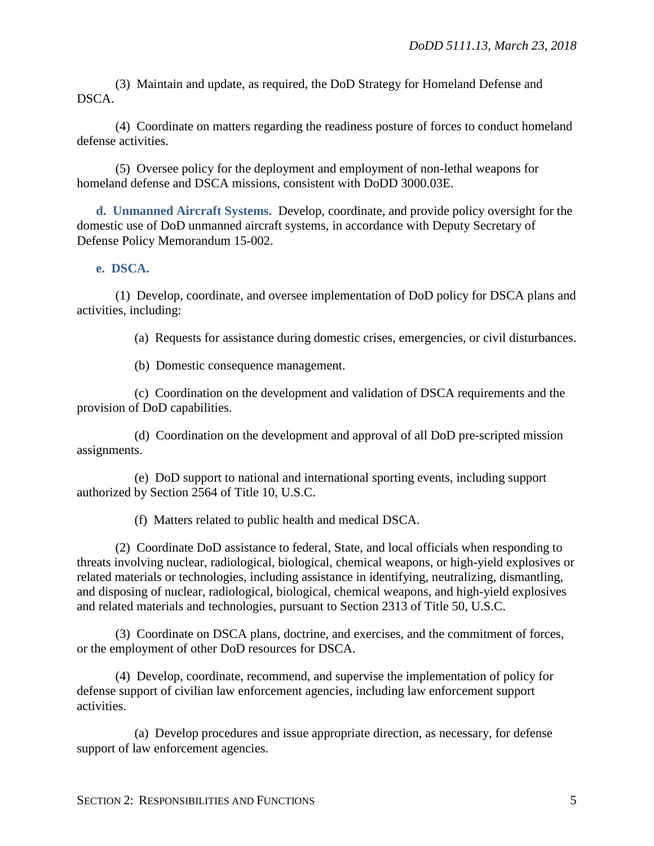(3) Maintain and update, as required, the DoD Strategy for Homeland Defense and DSCA.

(4) Coordinate on matters regarding the readiness posture of forces to conduct homeland defense activities.

(5) Oversee policy for the deployment and employment of non-lethal weapons for homeland defense and DSCA missions, consistent with DoDD 3000.03E.

**d. Unmanned Aircraft Systems.** Develop, coordinate, and provide policy oversight for the domestic use of DoD unmanned aircraft systems, in accordance with Deputy Secretary of Defense Policy Memorandum 15-002.

#### **e. DSCA.**

(1) Develop, coordinate, and oversee implementation of DoD policy for DSCA plans and activities, including:

(a) Requests for assistance during domestic crises, emergencies, or civil disturbances.

(b) Domestic consequence management.

(c) Coordination on the development and validation of DSCA requirements and the provision of DoD capabilities.

(d) Coordination on the development and approval of all DoD pre-scripted mission assignments.

(e) DoD support to national and international sporting events, including support authorized by Section 2564 of Title 10, U.S.C.

(f) Matters related to public health and medical DSCA.

(2) Coordinate DoD assistance to federal, State, and local officials when responding to threats involving nuclear, radiological, biological, chemical weapons, or high-yield explosives or related materials or technologies, including assistance in identifying, neutralizing, dismantling, and disposing of nuclear, radiological, biological, chemical weapons, and high-yield explosives and related materials and technologies, pursuant to Section 2313 of Title 50, U.S.C.

(3) Coordinate on DSCA plans, doctrine, and exercises, and the commitment of forces, or the employment of other DoD resources for DSCA.

(4) Develop, coordinate, recommend, and supervise the implementation of policy for defense support of civilian law enforcement agencies, including law enforcement support activities.

(a) Develop procedures and issue appropriate direction, as necessary, for defense support of law enforcement agencies.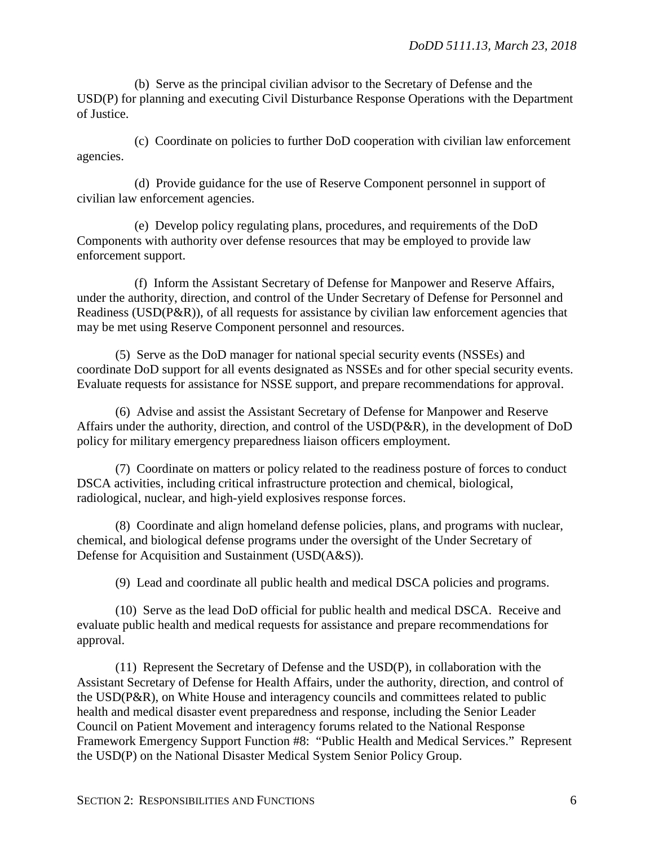(b) Serve as the principal civilian advisor to the Secretary of Defense and the USD(P) for planning and executing Civil Disturbance Response Operations with the Department of Justice.

(c) Coordinate on policies to further DoD cooperation with civilian law enforcement agencies.

(d) Provide guidance for the use of Reserve Component personnel in support of civilian law enforcement agencies.

(e) Develop policy regulating plans, procedures, and requirements of the DoD Components with authority over defense resources that may be employed to provide law enforcement support.

(f) Inform the Assistant Secretary of Defense for Manpower and Reserve Affairs, under the authority, direction, and control of the Under Secretary of Defense for Personnel and Readiness (USD(P&R)), of all requests for assistance by civilian law enforcement agencies that may be met using Reserve Component personnel and resources.

(5) Serve as the DoD manager for national special security events (NSSEs) and coordinate DoD support for all events designated as NSSEs and for other special security events. Evaluate requests for assistance for NSSE support, and prepare recommendations for approval.

(6) Advise and assist the Assistant Secretary of Defense for Manpower and Reserve Affairs under the authority, direction, and control of the USD(P&R), in the development of DoD policy for military emergency preparedness liaison officers employment.

(7) Coordinate on matters or policy related to the readiness posture of forces to conduct DSCA activities, including critical infrastructure protection and chemical, biological, radiological, nuclear, and high-yield explosives response forces.

(8) Coordinate and align homeland defense policies, plans, and programs with nuclear, chemical, and biological defense programs under the oversight of the Under Secretary of Defense for Acquisition and Sustainment (USD(A&S)).

(9) Lead and coordinate all public health and medical DSCA policies and programs.

(10) Serve as the lead DoD official for public health and medical DSCA. Receive and evaluate public health and medical requests for assistance and prepare recommendations for approval.

(11) Represent the Secretary of Defense and the USD(P), in collaboration with the Assistant Secretary of Defense for Health Affairs, under the authority, direction, and control of the USD(P&R), on White House and interagency councils and committees related to public health and medical disaster event preparedness and response, including the Senior Leader Council on Patient Movement and interagency forums related to the National Response Framework Emergency Support Function #8: "Public Health and Medical Services." Represent the USD(P) on the National Disaster Medical System Senior Policy Group.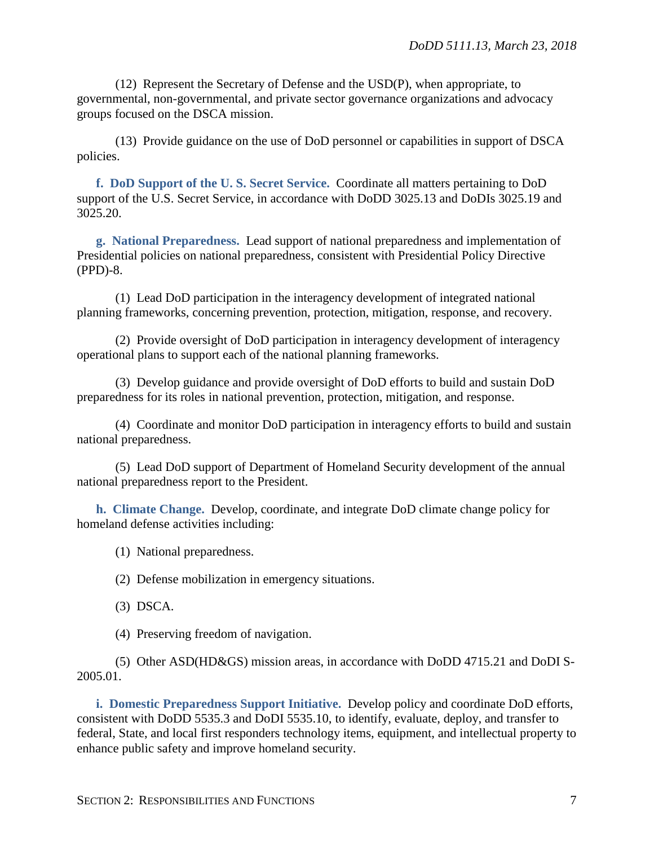(12) Represent the Secretary of Defense and the USD(P), when appropriate, to governmental, non-governmental, and private sector governance organizations and advocacy groups focused on the DSCA mission.

(13) Provide guidance on the use of DoD personnel or capabilities in support of DSCA policies.

**f. DoD Support of the U. S. Secret Service.** Coordinate all matters pertaining to DoD support of the U.S. Secret Service, in accordance with DoDD 3025.13 and DoDIs 3025.19 and 3025.20.

**g. National Preparedness.** Lead support of national preparedness and implementation of Presidential policies on national preparedness, consistent with Presidential Policy Directive (PPD)-8.

(1) Lead DoD participation in the interagency development of integrated national planning frameworks, concerning prevention, protection, mitigation, response, and recovery.

(2) Provide oversight of DoD participation in interagency development of interagency operational plans to support each of the national planning frameworks.

(3) Develop guidance and provide oversight of DoD efforts to build and sustain DoD preparedness for its roles in national prevention, protection, mitigation, and response.

(4) Coordinate and monitor DoD participation in interagency efforts to build and sustain national preparedness.

(5) Lead DoD support of Department of Homeland Security development of the annual national preparedness report to the President.

**h. Climate Change.** Develop, coordinate, and integrate DoD climate change policy for homeland defense activities including:

(1) National preparedness.

(2) Defense mobilization in emergency situations.

(3) DSCA.

(4) Preserving freedom of navigation.

(5) Other ASD(HD&GS) mission areas, in accordance with DoDD 4715.21 and DoDI S-2005.01.

**i. Domestic Preparedness Support Initiative.** Develop policy and coordinate DoD efforts, consistent with DoDD 5535.3 and DoDI 5535.10, to identify, evaluate, deploy, and transfer to federal, State, and local first responders technology items, equipment, and intellectual property to enhance public safety and improve homeland security.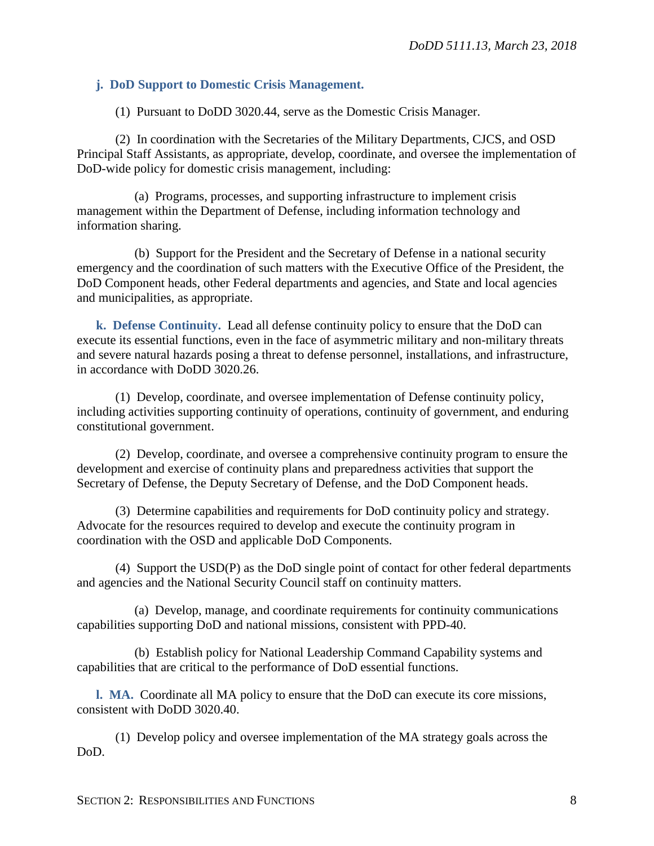#### **j. DoD Support to Domestic Crisis Management.**

(1) Pursuant to DoDD 3020.44, serve as the Domestic Crisis Manager.

(2) In coordination with the Secretaries of the Military Departments, CJCS, and OSD Principal Staff Assistants, as appropriate, develop, coordinate, and oversee the implementation of DoD-wide policy for domestic crisis management, including:

(a) Programs, processes, and supporting infrastructure to implement crisis management within the Department of Defense, including information technology and information sharing.

(b) Support for the President and the Secretary of Defense in a national security emergency and the coordination of such matters with the Executive Office of the President, the DoD Component heads, other Federal departments and agencies, and State and local agencies and municipalities, as appropriate.

**k. Defense Continuity.** Lead all defense continuity policy to ensure that the DoD can execute its essential functions, even in the face of asymmetric military and non-military threats and severe natural hazards posing a threat to defense personnel, installations, and infrastructure, in accordance with DoDD 3020.26.

(1) Develop, coordinate, and oversee implementation of Defense continuity policy, including activities supporting continuity of operations, continuity of government, and enduring constitutional government.

(2) Develop, coordinate, and oversee a comprehensive continuity program to ensure the development and exercise of continuity plans and preparedness activities that support the Secretary of Defense, the Deputy Secretary of Defense, and the DoD Component heads.

(3) Determine capabilities and requirements for DoD continuity policy and strategy. Advocate for the resources required to develop and execute the continuity program in coordination with the OSD and applicable DoD Components.

(4) Support the USD(P) as the DoD single point of contact for other federal departments and agencies and the National Security Council staff on continuity matters.

(a) Develop, manage, and coordinate requirements for continuity communications capabilities supporting DoD and national missions, consistent with PPD-40.

(b) Establish policy for National Leadership Command Capability systems and capabilities that are critical to the performance of DoD essential functions.

**l. MA.** Coordinate all MA policy to ensure that the DoD can execute its core missions, consistent with DoDD 3020.40.

(1) Develop policy and oversee implementation of the MA strategy goals across the DoD.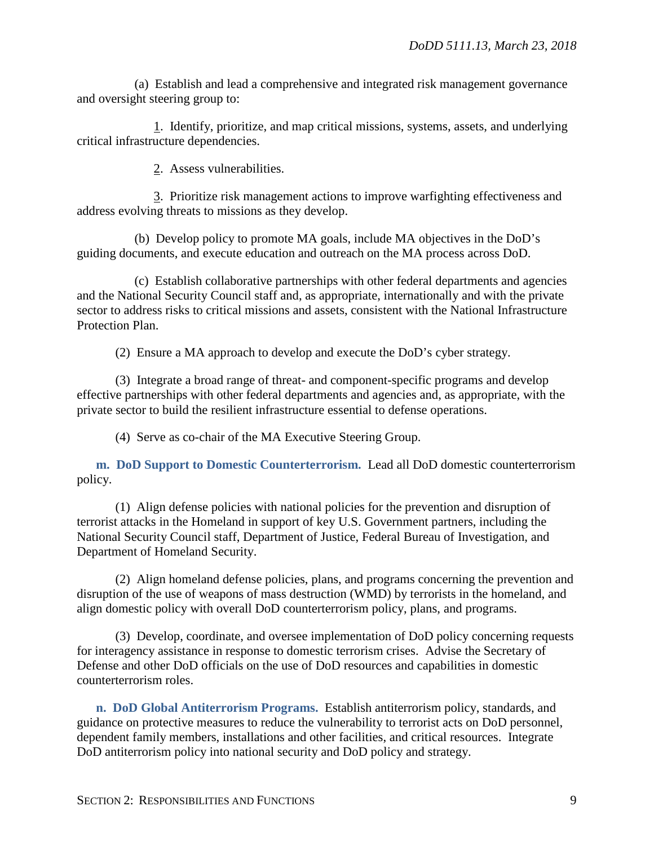(a) Establish and lead a comprehensive and integrated risk management governance and oversight steering group to:

1. Identify, prioritize, and map critical missions, systems, assets, and underlying critical infrastructure dependencies.

2. Assess vulnerabilities.

3. Prioritize risk management actions to improve warfighting effectiveness and address evolving threats to missions as they develop.

(b) Develop policy to promote MA goals, include MA objectives in the DoD's guiding documents, and execute education and outreach on the MA process across DoD.

(c) Establish collaborative partnerships with other federal departments and agencies and the National Security Council staff and, as appropriate, internationally and with the private sector to address risks to critical missions and assets, consistent with the National Infrastructure Protection Plan.

(2) Ensure a MA approach to develop and execute the DoD's cyber strategy.

(3) Integrate a broad range of threat- and component-specific programs and develop effective partnerships with other federal departments and agencies and, as appropriate, with the private sector to build the resilient infrastructure essential to defense operations.

(4) Serve as co-chair of the MA Executive Steering Group.

**m. DoD Support to Domestic Counterterrorism.** Lead all DoD domestic counterterrorism policy.

(1) Align defense policies with national policies for the prevention and disruption of terrorist attacks in the Homeland in support of key U.S. Government partners, including the National Security Council staff, Department of Justice, Federal Bureau of Investigation, and Department of Homeland Security.

(2) Align homeland defense policies, plans, and programs concerning the prevention and disruption of the use of weapons of mass destruction (WMD) by terrorists in the homeland, and align domestic policy with overall DoD counterterrorism policy, plans, and programs.

(3) Develop, coordinate, and oversee implementation of DoD policy concerning requests for interagency assistance in response to domestic terrorism crises. Advise the Secretary of Defense and other DoD officials on the use of DoD resources and capabilities in domestic counterterrorism roles.

**n. DoD Global Antiterrorism Programs.** Establish antiterrorism policy, standards, and guidance on protective measures to reduce the vulnerability to terrorist acts on DoD personnel, dependent family members, installations and other facilities, and critical resources. Integrate DoD antiterrorism policy into national security and DoD policy and strategy.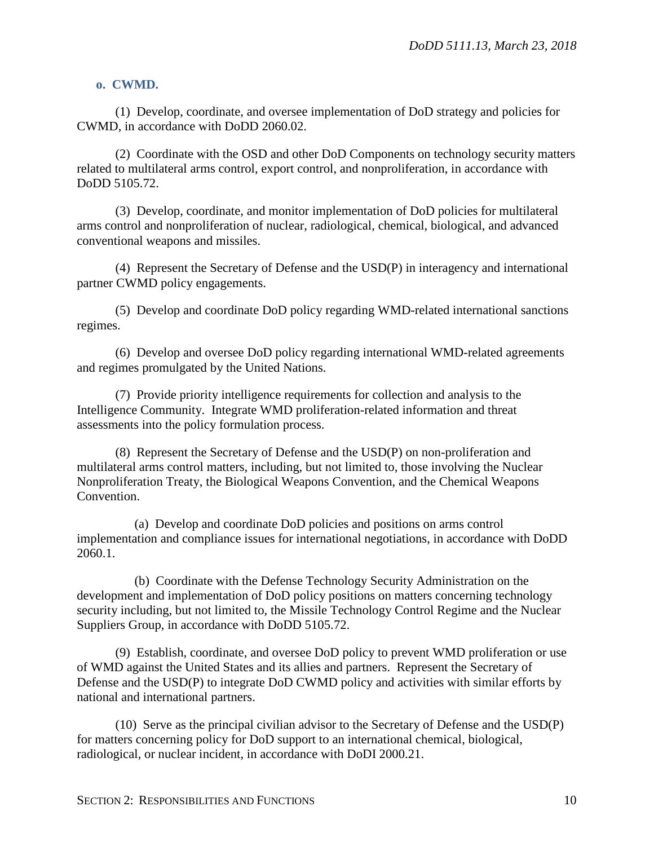#### **o. CWMD.**

(1) Develop, coordinate, and oversee implementation of DoD strategy and policies for CWMD, in accordance with DoDD 2060.02.

(2) Coordinate with the OSD and other DoD Components on technology security matters related to multilateral arms control, export control, and nonproliferation, in accordance with DoDD 5105.72.

(3) Develop, coordinate, and monitor implementation of DoD policies for multilateral arms control and nonproliferation of nuclear, radiological, chemical, biological, and advanced conventional weapons and missiles.

(4) Represent the Secretary of Defense and the USD(P) in interagency and international partner CWMD policy engagements.

(5) Develop and coordinate DoD policy regarding WMD-related international sanctions regimes.

(6) Develop and oversee DoD policy regarding international WMD-related agreements and regimes promulgated by the United Nations.

(7) Provide priority intelligence requirements for collection and analysis to the Intelligence Community. Integrate WMD proliferation-related information and threat assessments into the policy formulation process.

(8) Represent the Secretary of Defense and the USD(P) on non-proliferation and multilateral arms control matters, including, but not limited to, those involving the Nuclear Nonproliferation Treaty, the Biological Weapons Convention, and the Chemical Weapons Convention.

(a) Develop and coordinate DoD policies and positions on arms control implementation and compliance issues for international negotiations, in accordance with DoDD 2060.1.

(b) Coordinate with the Defense Technology Security Administration on the development and implementation of DoD policy positions on matters concerning technology security including, but not limited to, the Missile Technology Control Regime and the Nuclear Suppliers Group, in accordance with DoDD 5105.72.

(9) Establish, coordinate, and oversee DoD policy to prevent WMD proliferation or use of WMD against the United States and its allies and partners. Represent the Secretary of Defense and the USD(P) to integrate DoD CWMD policy and activities with similar efforts by national and international partners.

(10) Serve as the principal civilian advisor to the Secretary of Defense and the USD(P) for matters concerning policy for DoD support to an international chemical, biological, radiological, or nuclear incident, in accordance with DoDI 2000.21.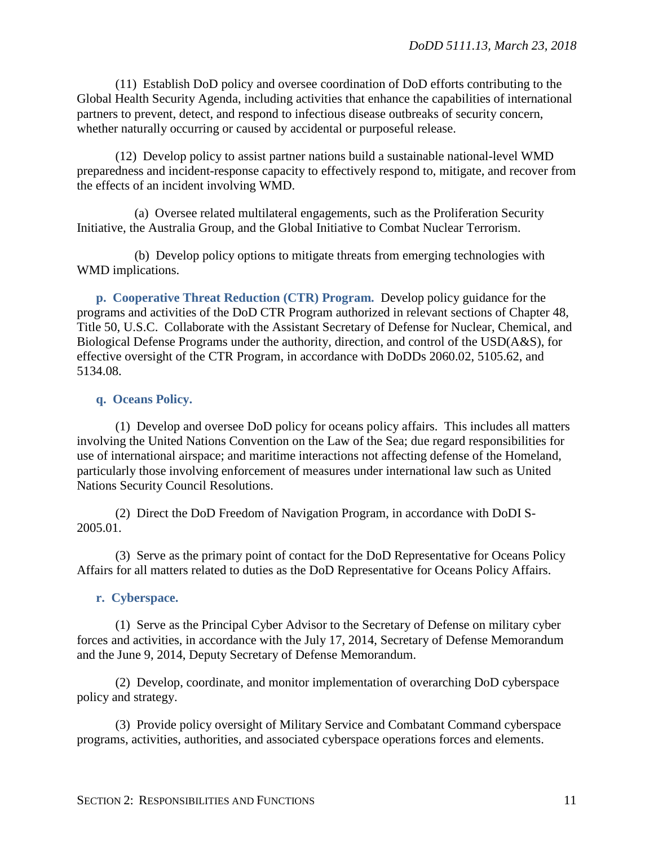(11) Establish DoD policy and oversee coordination of DoD efforts contributing to the Global Health Security Agenda, including activities that enhance the capabilities of international partners to prevent, detect, and respond to infectious disease outbreaks of security concern, whether naturally occurring or caused by accidental or purposeful release.

(12) Develop policy to assist partner nations build a sustainable national-level WMD preparedness and incident-response capacity to effectively respond to, mitigate, and recover from the effects of an incident involving WMD.

(a) Oversee related multilateral engagements, such as the Proliferation Security Initiative, the Australia Group, and the Global Initiative to Combat Nuclear Terrorism.

(b) Develop policy options to mitigate threats from emerging technologies with WMD implications.

**p. Cooperative Threat Reduction (CTR) Program.** Develop policy guidance for the programs and activities of the DoD CTR Program authorized in relevant sections of Chapter 48, Title 50, U.S.C. Collaborate with the Assistant Secretary of Defense for Nuclear, Chemical, and Biological Defense Programs under the authority, direction, and control of the USD(A&S), for effective oversight of the CTR Program, in accordance with DoDDs 2060.02, 5105.62, and 5134.08.

#### **q. Oceans Policy.**

(1) Develop and oversee DoD policy for oceans policy affairs. This includes all matters involving the United Nations Convention on the Law of the Sea; due regard responsibilities for use of international airspace; and maritime interactions not affecting defense of the Homeland, particularly those involving enforcement of measures under international law such as United Nations Security Council Resolutions.

(2) Direct the DoD Freedom of Navigation Program, in accordance with DoDI S-2005.01.

(3) Serve as the primary point of contact for the DoD Representative for Oceans Policy Affairs for all matters related to duties as the DoD Representative for Oceans Policy Affairs.

#### **r. Cyberspace.**

(1) Serve as the Principal Cyber Advisor to the Secretary of Defense on military cyber forces and activities, in accordance with the July 17, 2014, Secretary of Defense Memorandum and the June 9, 2014, Deputy Secretary of Defense Memorandum.

(2) Develop, coordinate, and monitor implementation of overarching DoD cyberspace policy and strategy.

(3) Provide policy oversight of Military Service and Combatant Command cyberspace programs, activities, authorities, and associated cyberspace operations forces and elements.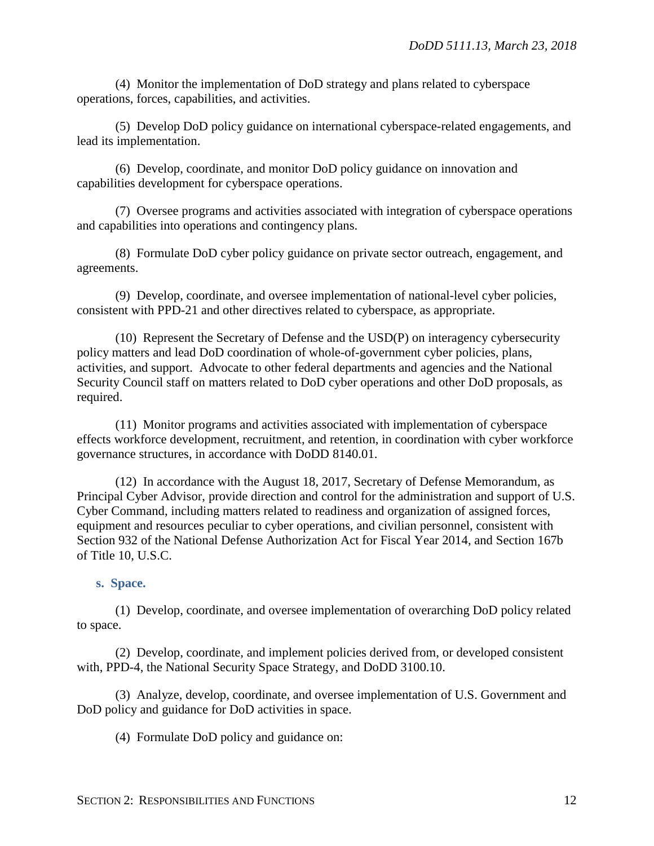(4) Monitor the implementation of DoD strategy and plans related to cyberspace operations, forces, capabilities, and activities.

(5) Develop DoD policy guidance on international cyberspace-related engagements, and lead its implementation.

(6) Develop, coordinate, and monitor DoD policy guidance on innovation and capabilities development for cyberspace operations.

(7) Oversee programs and activities associated with integration of cyberspace operations and capabilities into operations and contingency plans.

(8) Formulate DoD cyber policy guidance on private sector outreach, engagement, and agreements.

(9) Develop, coordinate, and oversee implementation of national-level cyber policies, consistent with PPD-21 and other directives related to cyberspace, as appropriate.

(10) Represent the Secretary of Defense and the USD(P) on interagency cybersecurity policy matters and lead DoD coordination of whole-of-government cyber policies, plans, activities, and support. Advocate to other federal departments and agencies and the National Security Council staff on matters related to DoD cyber operations and other DoD proposals, as required.

(11) Monitor programs and activities associated with implementation of cyberspace effects workforce development, recruitment, and retention, in coordination with cyber workforce governance structures, in accordance with DoDD 8140.01.

(12) In accordance with the August 18, 2017, Secretary of Defense Memorandum, as Principal Cyber Advisor, provide direction and control for the administration and support of U.S. Cyber Command, including matters related to readiness and organization of assigned forces, equipment and resources peculiar to cyber operations, and civilian personnel, consistent with Section 932 of the National Defense Authorization Act for Fiscal Year 2014, and Section 167b of Title 10, U.S.C.

#### **s. Space.**

(1) Develop, coordinate, and oversee implementation of overarching DoD policy related to space.

(2) Develop, coordinate, and implement policies derived from, or developed consistent with, PPD-4, the National Security Space Strategy, and DoDD 3100.10.

(3) Analyze, develop, coordinate, and oversee implementation of U.S. Government and DoD policy and guidance for DoD activities in space.

(4) Formulate DoD policy and guidance on: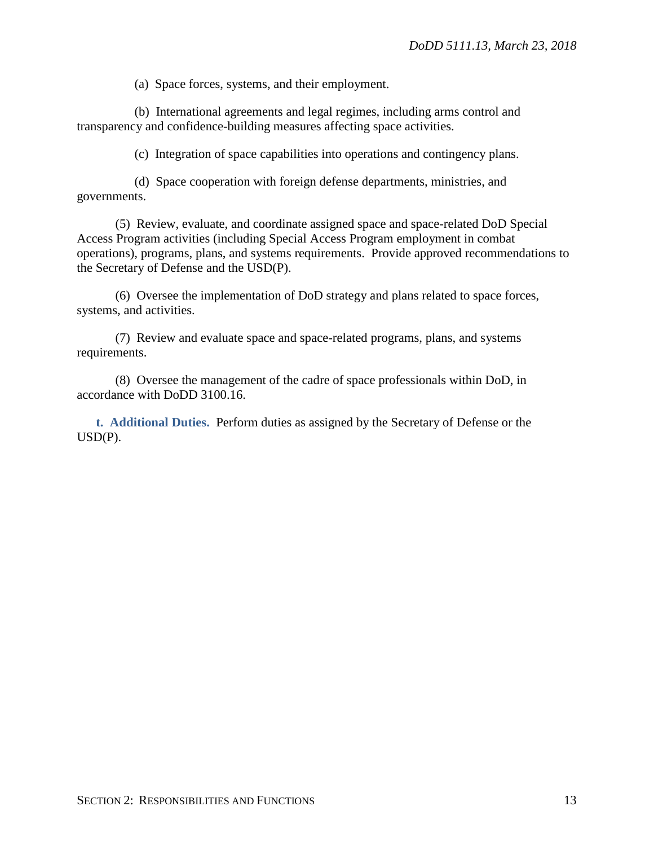(a) Space forces, systems, and their employment.

(b) International agreements and legal regimes, including arms control and transparency and confidence-building measures affecting space activities.

(c) Integration of space capabilities into operations and contingency plans.

(d) Space cooperation with foreign defense departments, ministries, and governments.

(5) Review, evaluate, and coordinate assigned space and space-related DoD Special Access Program activities (including Special Access Program employment in combat operations), programs, plans, and systems requirements. Provide approved recommendations to the Secretary of Defense and the USD(P).

(6) Oversee the implementation of DoD strategy and plans related to space forces, systems, and activities.

(7) Review and evaluate space and space-related programs, plans, and systems requirements.

(8) Oversee the management of the cadre of space professionals within DoD, in accordance with DoDD 3100.16.

**t. Additional Duties.** Perform duties as assigned by the Secretary of Defense or the  $USD(P)$ .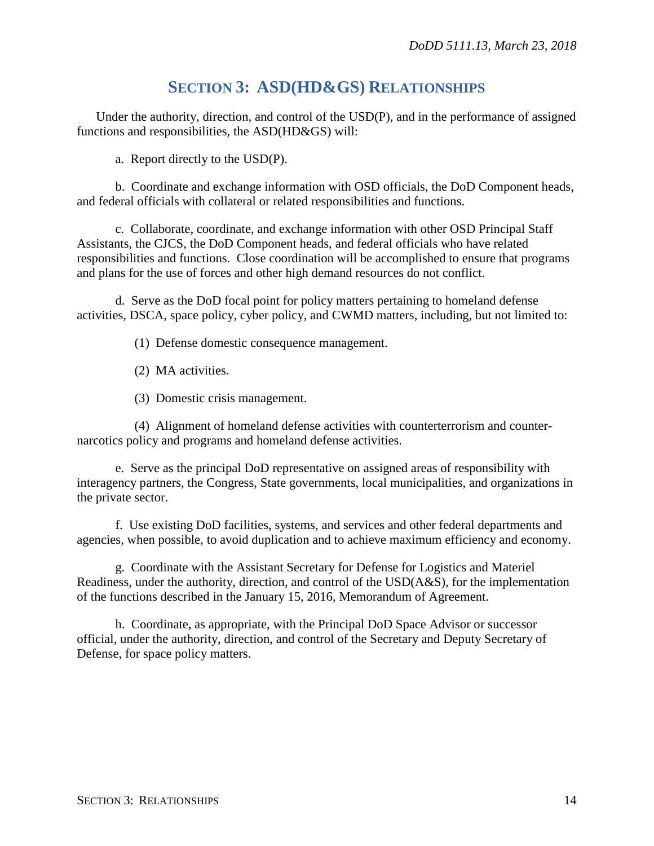## **SECTION 3: ASD(HD&GS) RELATIONSHIPS**

Under the authority, direction, and control of the USD(P), and in the performance of assigned functions and responsibilities, the ASD(HD&GS) will:

a. Report directly to the USD(P).

b. Coordinate and exchange information with OSD officials, the DoD Component heads, and federal officials with collateral or related responsibilities and functions.

c. Collaborate, coordinate, and exchange information with other OSD Principal Staff Assistants, the CJCS, the DoD Component heads, and federal officials who have related responsibilities and functions. Close coordination will be accomplished to ensure that programs and plans for the use of forces and other high demand resources do not conflict.

d. Serve as the DoD focal point for policy matters pertaining to homeland defense activities, DSCA, space policy, cyber policy, and CWMD matters, including, but not limited to:

(1) Defense domestic consequence management.

(2) MA activities.

(3) Domestic crisis management.

(4) Alignment of homeland defense activities with counterterrorism and counternarcotics policy and programs and homeland defense activities.

e. Serve as the principal DoD representative on assigned areas of responsibility with interagency partners, the Congress, State governments, local municipalities, and organizations in the private sector.

f. Use existing DoD facilities, systems, and services and other federal departments and agencies, when possible, to avoid duplication and to achieve maximum efficiency and economy.

g. Coordinate with the Assistant Secretary for Defense for Logistics and Materiel Readiness, under the authority, direction, and control of the USD(A&S), for the implementation of the functions described in the January 15, 2016, Memorandum of Agreement.

h. Coordinate, as appropriate, with the Principal DoD Space Advisor or successor official, under the authority, direction, and control of the Secretary and Deputy Secretary of Defense, for space policy matters.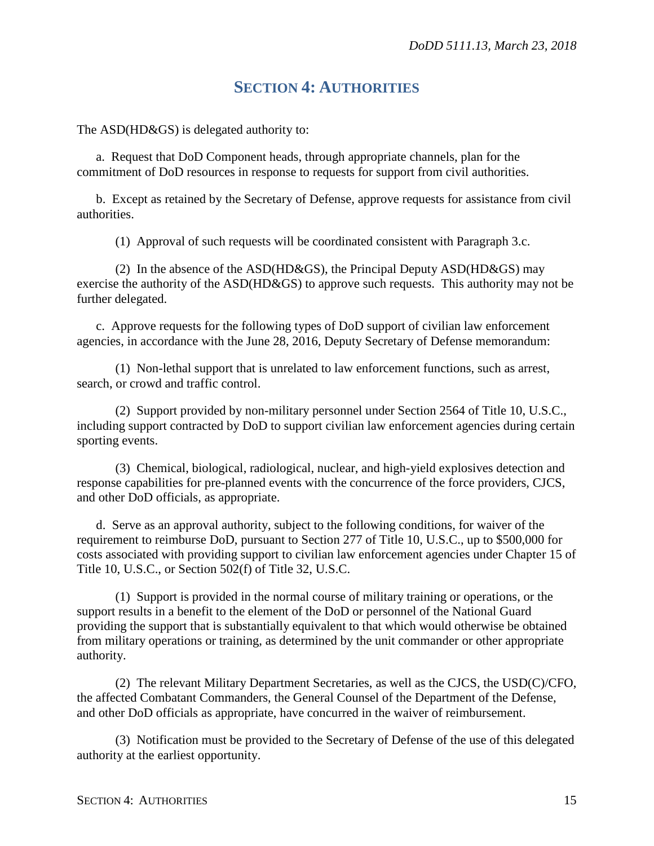## **SECTION 4: AUTHORITIES**

The ASD(HD&GS) is delegated authority to:

a. Request that DoD Component heads, through appropriate channels, plan for the commitment of DoD resources in response to requests for support from civil authorities.

b. Except as retained by the Secretary of Defense, approve requests for assistance from civil authorities.

(1) Approval of such requests will be coordinated consistent with Paragraph 3.c.

(2) In the absence of the ASD(HD&GS), the Principal Deputy ASD(HD&GS) may exercise the authority of the ASD(HD&GS) to approve such requests. This authority may not be further delegated.

c. Approve requests for the following types of DoD support of civilian law enforcement agencies, in accordance with the June 28, 2016, Deputy Secretary of Defense memorandum:

(1) Non-lethal support that is unrelated to law enforcement functions, such as arrest, search, or crowd and traffic control.

(2) Support provided by non-military personnel under Section 2564 of Title 10, U.S.C., including support contracted by DoD to support civilian law enforcement agencies during certain sporting events.

(3) Chemical, biological, radiological, nuclear, and high-yield explosives detection and response capabilities for pre-planned events with the concurrence of the force providers, CJCS, and other DoD officials, as appropriate.

d. Serve as an approval authority, subject to the following conditions, for waiver of the requirement to reimburse DoD, pursuant to Section 277 of Title 10, U.S.C., up to \$500,000 for costs associated with providing support to civilian law enforcement agencies under Chapter 15 of Title 10, U.S.C., or Section 502(f) of Title 32, U.S.C.

(1) Support is provided in the normal course of military training or operations, or the support results in a benefit to the element of the DoD or personnel of the National Guard providing the support that is substantially equivalent to that which would otherwise be obtained from military operations or training, as determined by the unit commander or other appropriate authority.

(2) The relevant Military Department Secretaries, as well as the CJCS, the USD(C)/CFO, the affected Combatant Commanders, the General Counsel of the Department of the Defense, and other DoD officials as appropriate, have concurred in the waiver of reimbursement.

(3) Notification must be provided to the Secretary of Defense of the use of this delegated authority at the earliest opportunity.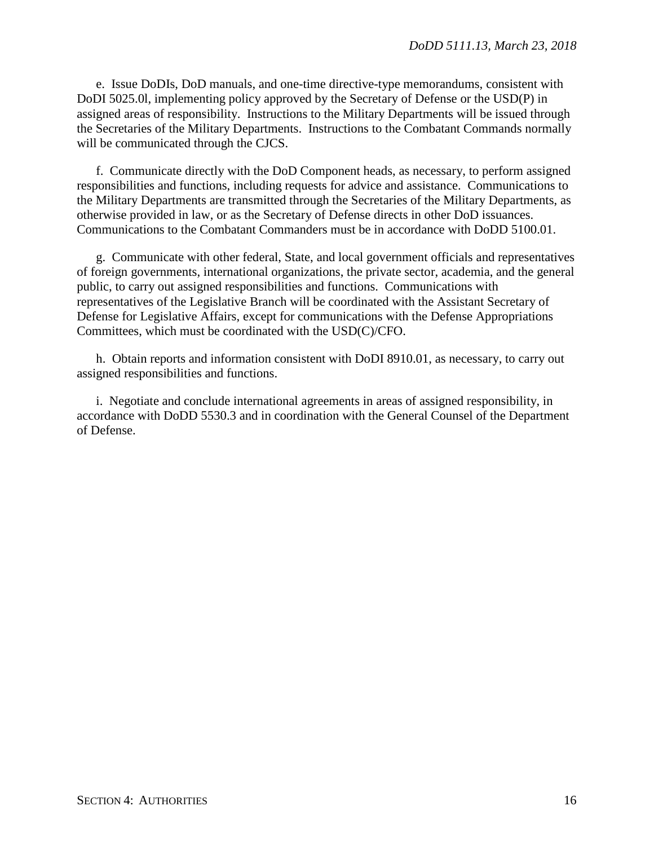e. Issue DoDIs, DoD manuals, and one-time directive-type memorandums, consistent with DoDI 5025.0l, implementing policy approved by the Secretary of Defense or the USD(P) in assigned areas of responsibility. Instructions to the Military Departments will be issued through the Secretaries of the Military Departments. Instructions to the Combatant Commands normally will be communicated through the CJCS.

f. Communicate directly with the DoD Component heads, as necessary, to perform assigned responsibilities and functions, including requests for advice and assistance. Communications to the Military Departments are transmitted through the Secretaries of the Military Departments, as otherwise provided in law, or as the Secretary of Defense directs in other DoD issuances. Communications to the Combatant Commanders must be in accordance with DoDD 5100.01.

g. Communicate with other federal, State, and local government officials and representatives of foreign governments, international organizations, the private sector, academia, and the general public, to carry out assigned responsibilities and functions. Communications with representatives of the Legislative Branch will be coordinated with the Assistant Secretary of Defense for Legislative Affairs, except for communications with the Defense Appropriations Committees, which must be coordinated with the USD(C)/CFO.

h. Obtain reports and information consistent with DoDI 8910.01, as necessary, to carry out assigned responsibilities and functions.

i. Negotiate and conclude international agreements in areas of assigned responsibility, in accordance with DoDD 5530.3 and in coordination with the General Counsel of the Department of Defense.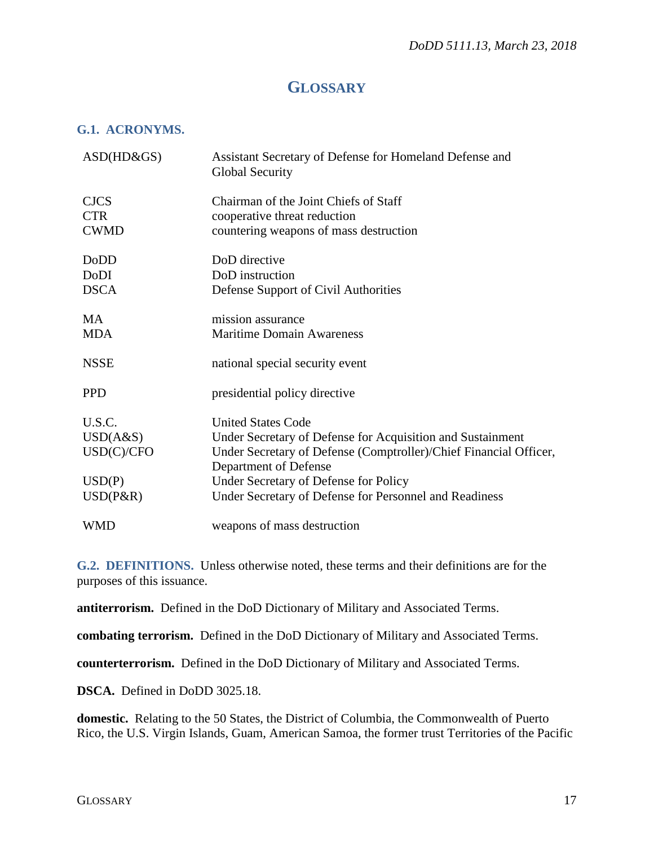## **GLOSSARY**

#### **G.1. ACRONYMS.**

| $ASD(HD\&GS)$ | Assistant Secretary of Defense for Homeland Defense and<br><b>Global Security</b>          |
|---------------|--------------------------------------------------------------------------------------------|
| <b>CJCS</b>   | Chairman of the Joint Chiefs of Staff                                                      |
| <b>CTR</b>    | cooperative threat reduction                                                               |
| <b>CWMD</b>   | countering weapons of mass destruction                                                     |
| <b>DoDD</b>   | DoD directive                                                                              |
| DoDI          | DoD instruction                                                                            |
| <b>DSCA</b>   | Defense Support of Civil Authorities                                                       |
| MA.           | mission assurance                                                                          |
| <b>MDA</b>    | <b>Maritime Domain Awareness</b>                                                           |
| <b>NSSE</b>   | national special security event                                                            |
| <b>PPD</b>    | presidential policy directive                                                              |
| U.S.C.        | <b>United States Code</b>                                                                  |
| USD(A&S)      | Under Secretary of Defense for Acquisition and Sustainment                                 |
| USD(C)/CFO    | Under Secretary of Defense (Comptroller)/Chief Financial Officer,<br>Department of Defense |
| USD(P)        | Under Secretary of Defense for Policy                                                      |
| $USD(P\&R)$   | Under Secretary of Defense for Personnel and Readiness                                     |
| <b>WMD</b>    | weapons of mass destruction                                                                |

**G.2. DEFINITIONS.** Unless otherwise noted, these terms and their definitions are for the purposes of this issuance.

**antiterrorism.** Defined in the DoD Dictionary of Military and Associated Terms.

**combating terrorism.** Defined in the DoD Dictionary of Military and Associated Terms.

**counterterrorism.** Defined in the DoD Dictionary of Military and Associated Terms.

**DSCA.** Defined in DoDD 3025.18.

**domestic.** Relating to the 50 States, the District of Columbia, the Commonwealth of Puerto Rico, the U.S. Virgin Islands, Guam, American Samoa, the former trust Territories of the Pacific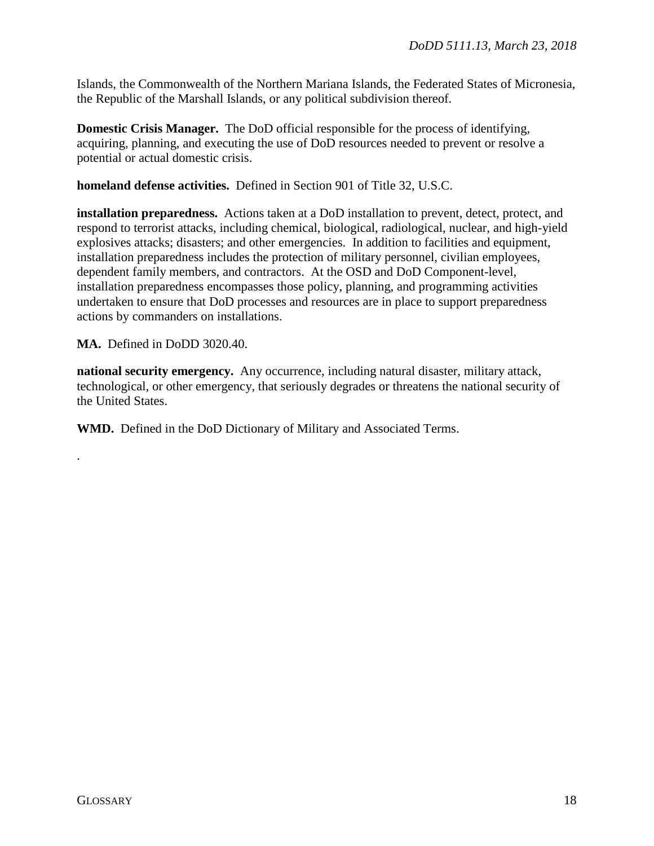Islands, the Commonwealth of the Northern Mariana Islands, the Federated States of Micronesia, the Republic of the Marshall Islands, or any political subdivision thereof.

**Domestic Crisis Manager.** The DoD official responsible for the process of identifying, acquiring, planning, and executing the use of DoD resources needed to prevent or resolve a potential or actual domestic crisis.

**homeland defense activities.** Defined in Section 901 of Title 32, U.S.C.

**installation preparedness.** Actions taken at a DoD installation to prevent, detect, protect, and respond to terrorist attacks, including chemical, biological, radiological, nuclear, and high-yield explosives attacks; disasters; and other emergencies. In addition to facilities and equipment, installation preparedness includes the protection of military personnel, civilian employees, dependent family members, and contractors. At the OSD and DoD Component-level, installation preparedness encompasses those policy, planning, and programming activities undertaken to ensure that DoD processes and resources are in place to support preparedness actions by commanders on installations.

**MA.** Defined in DoDD 3020.40.

**national security emergency.** Any occurrence, including natural disaster, military attack, technological, or other emergency, that seriously degrades or threatens the national security of the United States.

**WMD.** Defined in the DoD Dictionary of Military and Associated Terms.

.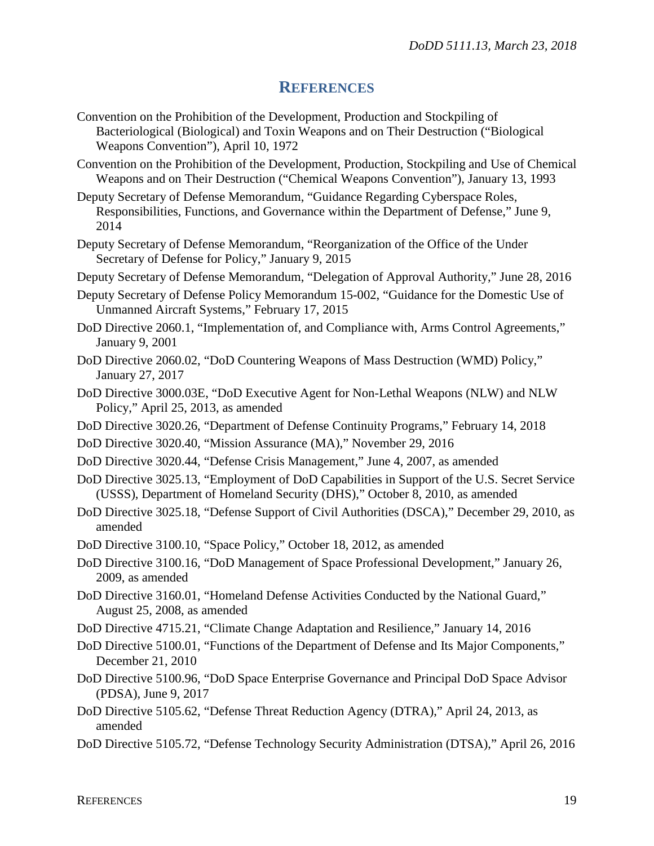#### **REFERENCES**

- Convention on the Prohibition of the Development, Production and Stockpiling of Bacteriological (Biological) and Toxin Weapons and on Their Destruction ("Biological Weapons Convention"), April 10, 1972
- Convention on the Prohibition of the Development, Production, Stockpiling and Use of Chemical Weapons and on Their Destruction ("Chemical Weapons Convention"), January 13, 1993
- Deputy Secretary of Defense Memorandum, "Guidance Regarding Cyberspace Roles, Responsibilities, Functions, and Governance within the Department of Defense," June 9, 2014
- Deputy Secretary of Defense Memorandum, "Reorganization of the Office of the Under Secretary of Defense for Policy," January 9, 2015
- Deputy Secretary of Defense Memorandum, "Delegation of Approval Authority," June 28, 2016
- Deputy Secretary of Defense Policy Memorandum 15-002, "Guidance for the Domestic Use of Unmanned Aircraft Systems," February 17, 2015
- DoD Directive 2060.1, "Implementation of, and Compliance with, Arms Control Agreements," January 9, 2001
- DoD Directive 2060.02, "DoD Countering Weapons of Mass Destruction (WMD) Policy," January 27, 2017
- DoD Directive 3000.03E, "DoD Executive Agent for Non-Lethal Weapons (NLW) and NLW Policy," April 25, 2013, as amended
- DoD Directive 3020.26, "Department of Defense Continuity Programs," February 14, 2018
- DoD Directive 3020.40, "Mission Assurance (MA)," November 29, 2016
- DoD Directive 3020.44, "Defense Crisis Management," June 4, 2007, as amended
- DoD Directive 3025.13, "Employment of DoD Capabilities in Support of the U.S. Secret Service (USSS), Department of Homeland Security (DHS)," October 8, 2010, as amended
- DoD Directive 3025.18, "Defense Support of Civil Authorities (DSCA)," December 29, 2010, as amended
- DoD Directive 3100.10, "Space Policy," October 18, 2012, as amended
- DoD Directive 3100.16, "DoD Management of Space Professional Development," January 26, 2009, as amended
- DoD Directive 3160.01, "Homeland Defense Activities Conducted by the National Guard," August 25, 2008, as amended
- DoD Directive 4715.21, "Climate Change Adaptation and Resilience," January 14, 2016
- DoD Directive 5100.01, "Functions of the Department of Defense and Its Major Components," December 21, 2010
- DoD Directive 5100.96, "DoD Space Enterprise Governance and Principal DoD Space Advisor (PDSA), June 9, 2017
- DoD Directive 5105.62, "Defense Threat Reduction Agency (DTRA)," April 24, 2013, as amended
- DoD Directive 5105.72, "Defense Technology Security Administration (DTSA)," April 26, 2016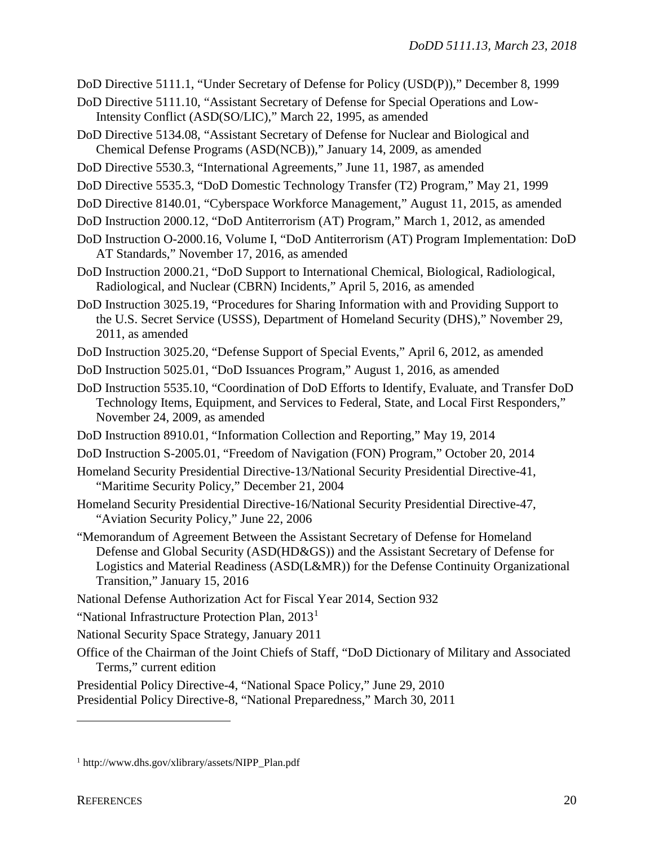- DoD Directive 5111.1, "Under Secretary of Defense for Policy (USD(P))," December 8, 1999
- DoD Directive 5111.10, "Assistant Secretary of Defense for Special Operations and Low-Intensity Conflict (ASD(SO/LIC)," March 22, 1995, as amended
- DoD Directive 5134.08, "Assistant Secretary of Defense for Nuclear and Biological and Chemical Defense Programs (ASD(NCB))," January 14, 2009, as amended
- DoD Directive 5530.3, "International Agreements," June 11, 1987, as amended
- DoD Directive 5535.3, "DoD Domestic Technology Transfer (T2) Program," May 21, 1999
- DoD Directive 8140.01, "Cyberspace Workforce Management," August 11, 2015, as amended
- DoD Instruction 2000.12, "DoD Antiterrorism (AT) Program," March 1, 2012, as amended
- DoD Instruction O-2000.16, Volume I, "DoD Antiterrorism (AT) Program Implementation: DoD AT Standards," November 17, 2016, as amended
- DoD Instruction 2000.21, "DoD Support to International Chemical, Biological, Radiological, Radiological, and Nuclear (CBRN) Incidents," April 5, 2016, as amended
- DoD Instruction 3025.19, "Procedures for Sharing Information with and Providing Support to the U.S. Secret Service (USSS), Department of Homeland Security (DHS)," November 29, 2011, as amended
- DoD Instruction 3025.20, "Defense Support of Special Events," April 6, 2012, as amended
- DoD Instruction 5025.01, "DoD Issuances Program," August 1, 2016, as amended
- DoD Instruction 5535.10, "Coordination of DoD Efforts to Identify, Evaluate, and Transfer DoD Technology Items, Equipment, and Services to Federal, State, and Local First Responders," November 24, 2009, as amended
- DoD Instruction 8910.01, "Information Collection and Reporting," May 19, 2014
- DoD Instruction S-2005.01, "Freedom of Navigation (FON) Program," October 20, 2014
- Homeland Security Presidential Directive-13/National Security Presidential Directive-41, "Maritime Security Policy," December 21, 2004
- Homeland Security Presidential Directive-16/National Security Presidential Directive-47, "Aviation Security Policy," June 22, 2006
- "Memorandum of Agreement Between the Assistant Secretary of Defense for Homeland Defense and Global Security (ASD(HD&GS)) and the Assistant Secretary of Defense for Logistics and Material Readiness (ASD(L&MR)) for the Defense Continuity Organizational Transition," January 15, 2016
- National Defense Authorization Act for Fiscal Year 2014, Section 932
- "National Infrastructure Protection Plan, 20[1](#page-19-0)3<sup>1</sup>
- National Security Space Strategy, January 2011
- Office of the Chairman of the Joint Chiefs of Staff, "DoD Dictionary of Military and Associated Terms," current edition

Presidential Policy Directive-4, "National Space Policy," June 29, 2010 Presidential Policy Directive-8, "National Preparedness," March 30, 2011

 $\overline{a}$ 

<span id="page-19-0"></span><sup>1</sup> http://www.dhs.gov/xlibrary/assets/NIPP\_Plan.pdf